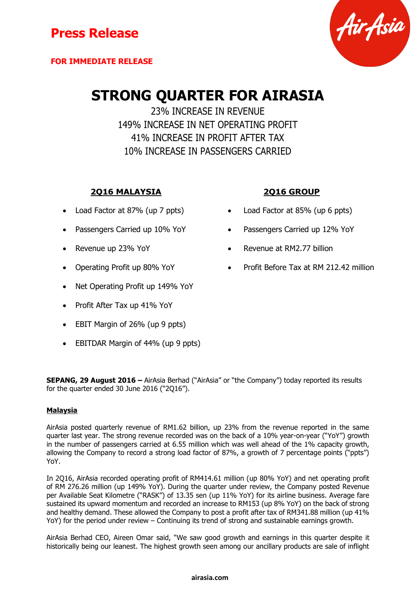



# **STRONG QUARTER FOR AIRASIA**

23% INCREASE IN REVENUE 149% INCREASE IN NET OPERATING PROFIT 41% INCREASE IN PROFIT AFTER TAX 10% INCREASE IN PASSENGERS CARRIED

### **2Q16 MALAYSIA 2Q16 GROUP**

- 
- 
- 
- 
- Net Operating Profit up 149% YoY
- Profit After Tax up 41% YoY
- EBIT Margin of 26% (up 9 ppts)
- EBITDAR Margin of 44% (up 9 ppts)

- Load Factor at 87% (up 7 ppts) Load Factor at 85% (up 6 ppts)
	- Passengers Carried up 10% YoY **•** Passengers Carried up 12% YoY
		- Revenue up 23% YoY **Revenue at RM2.77 billion**
- Operating Profit up 80% YoY Profit Before Tax at RM 212.42 million

**SEPANG, 29 August 2016 –** AirAsia Berhad ("AirAsia" or "the Company") today reported its results for the quarter ended 30 June 2016 ("2Q16").

#### **Malaysia**

AirAsia posted quarterly revenue of RM1.62 billion, up 23% from the revenue reported in the same quarter last year. The strong revenue recorded was on the back of a 10% year-on-year ("YoY") growth in the number of passengers carried at 6.55 million which was well ahead of the 1% capacity growth, allowing the Company to record a strong load factor of 87%, a growth of 7 percentage points ("ppts") YoY.

In 2Q16, AirAsia recorded operating profit of RM414.61 million (up 80% YoY) and net operating profit of RM 276.26 million (up 149% YoY). During the quarter under review, the Company posted Revenue per Available Seat Kilometre ("RASK") of 13.35 sen (up 11% YoY) for its airline business. Average fare sustained its upward momentum and recorded an increase to RM153 (up 8% YoY) on the back of strong and healthy demand. These allowed the Company to post a profit after tax of RM341.88 million (up 41% YoY) for the period under review – Continuing its trend of strong and sustainable earnings growth.

AirAsia Berhad CEO, Aireen Omar said, "We saw good growth and earnings in this quarter despite it historically being our leanest. The highest growth seen among our ancillary products are sale of inflight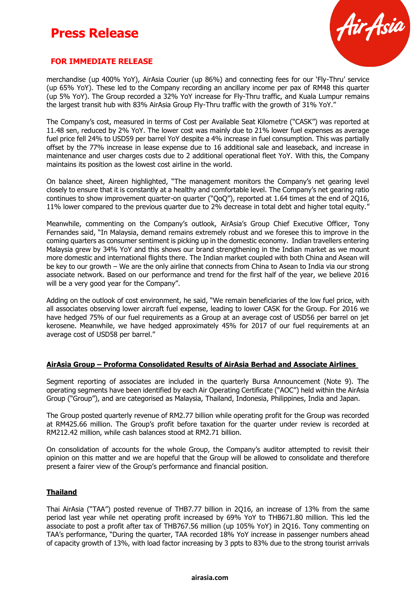## **Press Release**



#### **FOR IMMEDIATE RELEASE**

merchandise (up 400% YoY), AirAsia Courier (up 86%) and connecting fees for our 'Fly-Thru' service (up 65% YoY). These led to the Company recording an ancillary income per pax of RM48 this quarter (up 5% YoY). The Group recorded a 32% YoY increase for Fly-Thru traffic, and Kuala Lumpur remains the largest transit hub with 83% AirAsia Group Fly-Thru traffic with the growth of 31% YoY."

The Company's cost, measured in terms of Cost per Available Seat Kilometre ("CASK") was reported at 11.48 sen, reduced by 2% YoY. The lower cost was mainly due to 21% lower fuel expenses as average fuel price fell 24% to USD59 per barrel YoY despite a 4% increase in fuel consumption. This was partially offset by the 77% increase in lease expense due to 16 additional sale and leaseback, and increase in maintenance and user charges costs due to 2 additional operational fleet YoY. With this, the Company maintains its position as the lowest cost airline in the world.

On balance sheet, Aireen highlighted, "The management monitors the Company's net gearing level closely to ensure that it is constantly at a healthy and comfortable level. The Company's net gearing ratio continues to show improvement quarter-on quarter ("QoQ"), reported at 1.64 times at the end of 2Q16, 11% lower compared to the previous quarter due to 2% decrease in total debt and higher total equity."

Meanwhile, commenting on the Company's outlook, AirAsia's Group Chief Executive Officer, Tony Fernandes said, "In Malaysia, demand remains extremely robust and we foresee this to improve in the coming quarters as consumer sentiment is picking up in the domestic economy. Indian travellers entering Malaysia grew by 34% YoY and this shows our brand strengthening in the Indian market as we mount more domestic and international flights there. The Indian market coupled with both China and Asean will be key to our growth – We are the only airline that connects from China to Asean to India via our strong associate network. Based on our performance and trend for the first half of the year, we believe 2016 will be a very good year for the Company".

Adding on the outlook of cost environment, he said, "We remain beneficiaries of the low fuel price, with all associates observing lower aircraft fuel expense, leading to lower CASK for the Group. For 2016 we have hedged 75% of our fuel requirements as a Group at an average cost of USD56 per barrel on jet kerosene. Meanwhile, we have hedged approximately 45% for 2017 of our fuel requirements at an average cost of USD58 per barrel."

#### **AirAsia Group – Proforma Consolidated Results of AirAsia Berhad and Associate Airlines**

Segment reporting of associates are included in the quarterly Bursa Announcement (Note 9). The operating segments have been identified by each Air Operating Certificate ("AOC") held within the AirAsia Group ("Group"), and are categorised as Malaysia, Thailand, Indonesia, Philippines, India and Japan.

The Group posted quarterly revenue of RM2.77 billion while operating profit for the Group was recorded at RM425.66 million. The Group's profit before taxation for the quarter under review is recorded at RM212.42 million, while cash balances stood at RM2.71 billion.

On consolidation of accounts for the whole Group, the Company's auditor attempted to revisit their opinion on this matter and we are hopeful that the Group will be allowed to consolidate and therefore present a fairer view of the Group's performance and financial position.

#### **Thailand**

Thai AirAsia ("TAA") posted revenue of THB7.77 billion in 2Q16, an increase of 13% from the same period last year while net operating profit increased by 69% YoY to THB671.80 million. This led the associate to post a profit after tax of THB767.56 million (up 105% YoY) in 2Q16. Tony commenting on TAA's performance, "During the quarter, TAA recorded 18% YoY increase in passenger numbers ahead of capacity growth of 13%, with load factor increasing by 3 ppts to 83% due to the strong tourist arrivals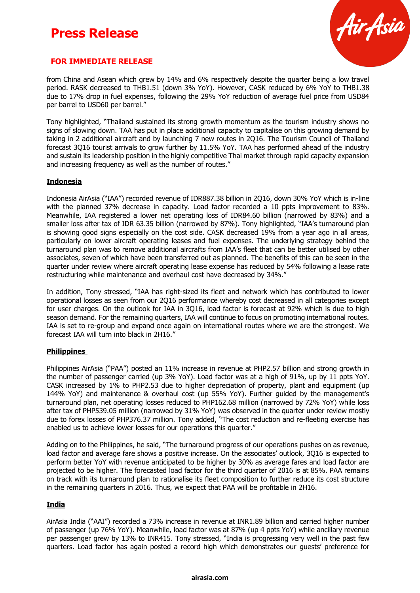## **Press Release**



#### **FOR IMMEDIATE RELEASE**

from China and Asean which grew by 14% and 6% respectively despite the quarter being a low travel period. RASK decreased to THB1.51 (down 3% YoY). However, CASK reduced by 6% YoY to THB1.38 due to 17% drop in fuel expenses, following the 29% YoY reduction of average fuel price from USD84 per barrel to USD60 per barrel."

Tony highlighted, "Thailand sustained its strong growth momentum as the tourism industry shows no signs of slowing down. TAA has put in place additional capacity to capitalise on this growing demand by taking in 2 additional aircraft and by launching 7 new routes in 2Q16. The Tourism Council of Thailand forecast 3Q16 tourist arrivals to grow further by 11.5% YoY. TAA has performed ahead of the industry and sustain its leadership position in the highly competitive Thai market through rapid capacity expansion and increasing frequency as well as the number of routes."

#### **Indonesia**

Indonesia AirAsia ("IAA") recorded revenue of IDR887.38 billion in 2Q16, down 30% YoY which is in-line with the planned 37% decrease in capacity. Load factor recorded a 10 ppts improvement to 83%. Meanwhile, IAA registered a lower net operating loss of IDR84.60 billion (narrowed by 83%) and a smaller loss after tax of IDR 63.35 billion (narrowed by 87%). Tony highlighted, "IAA's turnaround plan is showing good signs especially on the cost side. CASK decreased 19% from a year ago in all areas, particularly on lower aircraft operating leases and fuel expenses. The underlying strategy behind the turnaround plan was to remove additional aircrafts from IAA's fleet that can be better utilised by other associates, seven of which have been transferred out as planned. The benefits of this can be seen in the quarter under review where aircraft operating lease expense has reduced by 54% following a lease rate restructuring while maintenance and overhaul cost have decreased by 34%."

In addition, Tony stressed, "IAA has right-sized its fleet and network which has contributed to lower operational losses as seen from our 2Q16 performance whereby cost decreased in all categories except for user charges. On the outlook for IAA in 3Q16, load factor is forecast at 92% which is due to high season demand. For the remaining quarters, IAA will continue to focus on promoting international routes. IAA is set to re-group and expand once again on international routes where we are the strongest. We forecast IAA will turn into black in 2H16."

#### **Philippines**

Philippines AirAsia ("PAA") posted an 11% increase in revenue at PHP2.57 billion and strong growth in the number of passenger carried (up 3% YoY). Load factor was at a high of 91%, up by 11 ppts YoY. CASK increased by 1% to PHP2.53 due to higher depreciation of property, plant and equipment (up 144% YoY) and maintenance & overhaul cost (up 55% YoY). Further guided by the management's turnaround plan, net operating losses reduced to PHP162.68 million (narrowed by 72% YoY) while loss after tax of PHP539.05 million (narrowed by 31% YoY) was observed in the quarter under review mostly due to forex losses of PHP376.37 million. Tony added, "The cost reduction and re-fleeting exercise has enabled us to achieve lower losses for our operations this quarter."

Adding on to the Philippines, he said, "The turnaround progress of our operations pushes on as revenue, load factor and average fare shows a positive increase. On the associates' outlook, 3Q16 is expected to perform better YoY with revenue anticipated to be higher by 30% as average fares and load factor are projected to be higher. The forecasted load factor for the third quarter of 2016 is at 85%. PAA remains on track with its turnaround plan to rationalise its fleet composition to further reduce its cost structure in the remaining quarters in 2016. Thus, we expect that PAA will be profitable in 2H16.

#### **India**

AirAsia India ("AAI") recorded a 73% increase in revenue at INR1.89 billion and carried higher number of passenger (up 76% YoY). Meanwhile, load factor was at 87% (up 4 ppts YoY) while ancillary revenue per passenger grew by 13% to INR415. Tony stressed, "India is progressing very well in the past few quarters. Load factor has again posted a record high which demonstrates our guests' preference for